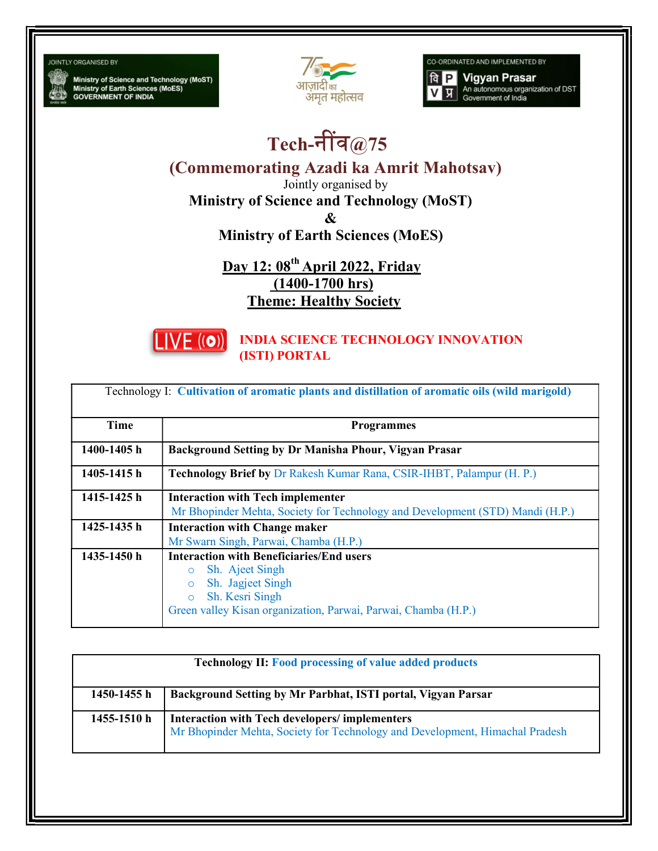**JOINTLY ORGANISED BY** 

Ministry of Science and Technology (MoST)<br>Ministry of Earth Sciences (MoES)<br>GOVERNMENT OF INDIA



CO-ORDINATED AND IMPLEMENTED BY

**Vigyan Prasar**  $a$   $P$ An autonomous organization of DST<br>Government of India प्र

## Tech-नींव $@75$

(Commemorating Azadi ka Amrit Mahotsav)

Jointly organised by

Ministry of Science and Technology (MoST)

&

Ministry of Earth Sciences (MoES)

Day 12: 08<sup>th</sup> April 2022, Friday (1400-1700 hrs) Theme: Healthy Society



INDIA SCIENCE TECHNOLOGY INNOVATION (ISTI) PORTAL

|  |  |  |  |  | Technology I: Cultivation of aromatic plants and distillation of aromatic oils (wild marigold) |
|--|--|--|--|--|------------------------------------------------------------------------------------------------|
|--|--|--|--|--|------------------------------------------------------------------------------------------------|

| Time        | <b>Programmes</b>                                                                                                                                                                                             |
|-------------|---------------------------------------------------------------------------------------------------------------------------------------------------------------------------------------------------------------|
| 1400-1405 h | Background Setting by Dr Manisha Phour, Vigyan Prasar                                                                                                                                                         |
| 1405-1415h  | <b>Technology Brief by Dr Rakesh Kumar Rana, CSIR-IHBT, Palampur (H. P.)</b>                                                                                                                                  |
| 1415-1425 h | <b>Interaction with Tech implementer</b><br>Mr Bhopinder Mehta, Society for Technology and Development (STD) Mandi (H.P.)                                                                                     |
| 1425-1435 h | <b>Interaction with Change maker</b><br>Mr Swarn Singh, Parwai, Chamba (H.P.)                                                                                                                                 |
| 1435-1450 h | <b>Interaction with Beneficiaries/End users</b><br>Sh. Ajeet Singh<br>$\circ$<br>Sh. Jagjeet Singh<br>$\circ$<br>Sh. Kesri Singh<br>$\circ$<br>Green valley Kisan organization, Parwai, Parwai, Chamba (H.P.) |

| <b>Technology II: Food processing of value added products</b> |                                                                                                                               |  |
|---------------------------------------------------------------|-------------------------------------------------------------------------------------------------------------------------------|--|
| 1450-1455 h                                                   | Background Setting by Mr Parbhat, ISTI portal, Vigyan Parsar                                                                  |  |
| 1455-1510 h                                                   | Interaction with Tech developers/implementers<br>Mr Bhopinder Mehta, Society for Technology and Development, Himachal Pradesh |  |